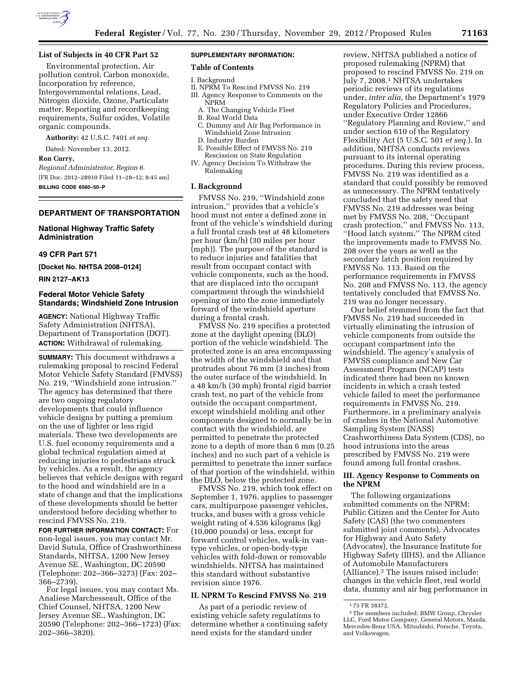

## **List of Subjects in 40 CFR Part 52**

Environmental protection, Air pollution control, Carbon monoxide, Incorporation by reference, Intergovernmental relations, Lead, Nitrogen dioxide, Ozone, Particulate matter, Reporting and recordkeeping requirements, Sulfur oxides, Volatile organic compounds.

**Authority:** 42 U.S.C. 7401 *et seq.* 

Dated: November 13, 2012.

**Ron Curry,** 

*Regional Administrator, Region 6.*  [FR Doc. 2012–28910 Filed 11–28–12; 8:45 am] **BILLING CODE 6560–50–P** 

## **DEPARTMENT OF TRANSPORTATION**

### **National Highway Traffic Safety Administration**

# **49 CFR Part 571**

**[Docket No. NHTSA 2008–0124]** 

**RIN 2127–AK13** 

## **Federal Motor Vehicle Safety Standards; Windshield Zone Intrusion**

**AGENCY:** National Highway Traffic Safety Administration (NHTSA), Department of Transportation (DOT). **ACTION:** Withdrawal of rulemaking.

**SUMMARY:** This document withdraws a rulemaking proposal to rescind Federal Motor Vehicle Safety Standard (FMVSS) No. 219, ''Windshield zone intrusion.'' The agency has determined that there are two ongoing regulatory developments that could influence vehicle designs by putting a premium on the use of lighter or less rigid materials. These two developments are U.S. fuel economy requirements and a global technical regulation aimed at reducing injuries to pedestrians struck by vehicles. As a result, the agency believes that vehicle designs with regard to the hood and windshield are in a state of change and that the implications of these developments should be better understood before deciding whether to rescind FMVSS No. 219.

**FOR FURTHER INFORMATION CONTACT:** For non-legal issues, you may contact Mr. David Sutula, Office of Crashworthiness Standards, NHTSA, 1200 New Jersey Avenue SE., Washington, DC 20590 (Telephone: 202–366–3273) (Fax: 202– 366–2739).

For legal issues, you may contact Ms. Analiese Marchesseault, Office of the Chief Counsel, NHTSA, 1200 New Jersey Avenue SE., Washington, DC 20590 (Telephone: 202–366–1723) (Fax: 202–366–3820).

# **SUPPLEMENTARY INFORMATION:**

# **Table of Contents**

I. Background

- II. NPRM To Rescind FMVSS No. 219 III. Agency Response to Comments on the NPRM
	- A. The Changing Vehicle Fleet
	- B. Real World Data
	- C. Dummy and Air Bag Performance in Windshield Zone Intrusion
	- D. Industry Burden
- E. Possible Effect of FMVSS No. 219 Rescission on State Regulation
- IV. Agency Decision To Withdraw the Rulemaking

# **I. Background**

FMVSS No. 219, ''Windshield zone intrusion,'' provides that a vehicle's hood must not enter a defined zone in front of the vehicle's windshield during a full frontal crash test at 48 kilometers per hour (km/h) (30 miles per hour (mph)). The purpose of the standard is to reduce injuries and fatalities that result from occupant contact with vehicle components, such as the hood, that are displaced into the occupant compartment through the windshield opening or into the zone immediately forward of the windshield aperture during a frontal crash.

FMVSS No. 219 specifies a protected zone at the daylight opening (DLO) portion of the vehicle windshield. The protected zone is an area encompassing the width of the windshield and that protrudes about 76 mm (3 inches) from the outer surface of the windshield. In a 48 km/h (30 mph) frontal rigid barrier crash test, no part of the vehicle from outside the occupant compartment, except windshield molding and other components designed to normally be in contact with the windshield, are permitted to penetrate the protected zone to a depth of more than 6 mm (0.25 inches) and no such part of a vehicle is permitted to penetrate the inner surface of that portion of the windshield, within the DLO, below the protected zone.

FMVSS No. 219, which took effect on September 1, 1976, applies to passenger cars, multipurpose passenger vehicles, trucks, and buses with a gross vehicle weight rating of 4,536 kilograms (kg) (10,000 pounds) or less, except for forward control vehicles, walk-in vantype vehicles, or open-body-type vehicles with fold-down or removable windshields. NHTSA has maintained this standard without substantive revision since 1976.

#### **II. NPRM To Rescind FMVSS No. 219**

As part of a periodic review of existing vehicle safety regulations to determine whether a continuing safety need exists for the standard under

review, NHTSA published a notice of proposed rulemaking (NPRM) that proposed to rescind FMVSS No. 219 on July 7, 2008.1 NHTSA undertakes periodic reviews of its regulations under, *inter alia,* the Department's 1979 Regulatory Policies and Procedures, under Executive Order 12866 ''Regulatory Planning and Review,'' and under section 610 of the Regulatory Flexibility Act (5 U.S.C. 501 *et seq.*). In addition, NHTSA conducts reviews pursuant to its internal operating procedures. During this review process, FMVSS No. 219 was identified as a standard that could possibly be removed as unnecessary. The NPRM tentatively concluded that the safety need that FMVSS No. 219 addresses was being met by FMVSS No. 208, ''Occupant crash protection,'' and FMVSS No. 113, ''Hood latch system.'' The NPRM cited the improvements made to FMVSS No. 208 over the years as well as the secondary latch position required by FMVSS No. 113. Based on the performance requirements in FMVSS No. 208 and FMVSS No. 113, the agency tentatively concluded that FMVSS No. 219 was no longer necessary.

Our belief stemmed from the fact that FMVSS No. 219 had succeeded in virtually eliminating the intrusion of vehicle components from outside the occupant compartment into the windshield. The agency's analysis of FMVSS compliance and New Car Assessment Program (NCAP) tests indicated there had been no known incidents in which a crash tested vehicle failed to meet the performance requirements in FMVSS No. 219. Furthermore, in a preliminary analysis of crashes in the National Automotive Sampling System (NASS) Crashworthiness Data System (CDS), no hood intrusions into the areas prescribed by FMVSS No. 219 were found among full frontal crashes.

# **III. Agency Response to Comments on the NPRM**

The following organizations submitted comments on the NPRM: Public Citizen and the Center for Auto Safety (CAS) (the two commenters submitted joint comments), Advocates for Highway and Auto Safety (Advocates), the Insurance Institute for Highway Safety (IIHS), and the Alliance of Automobile Manufacturers (Alliance).2 The issues raised include: changes in the vehicle fleet, real world data, dummy and air bag performance in

<sup>1</sup> 73 FR 38372.

<sup>2</sup>The members included: BMW Group, Chrysler LLC, Ford Motor Company, General Motors, Mazda, Mercedes-Benz USA, Mitsubishi, Porsche, Toyota, and Volkswagen.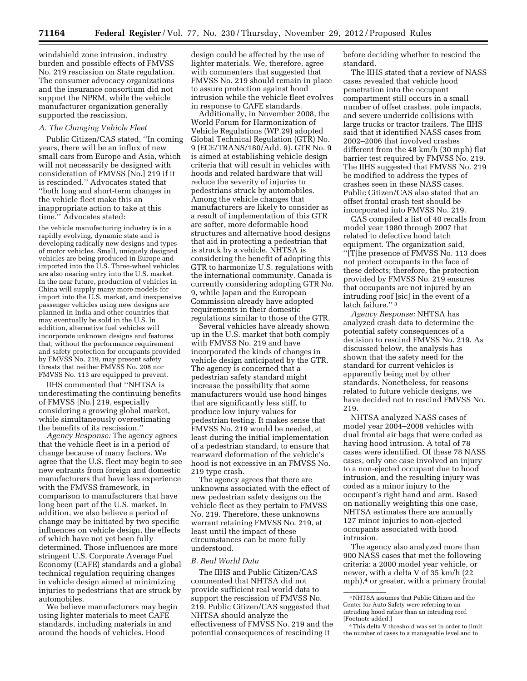windshield zone intrusion, industry burden and possible effects of FMVSS No. 219 rescission on State regulation. The consumer advocacy organizations and the insurance consortium did not support the NPRM, while the vehicle manufacturer organization generally supported the rescission.

#### *A. The Changing Vehicle Fleet*

Public Citizen/CAS stated, ''In coming years, there will be an influx of new small cars from Europe and Asia, which will not necessarily be designed with consideration of FMVSS [No.] 219 if it is rescinded.'' Advocates stated that ''both long and short-term changes in the vehicle fleet make this an inappropriate action to take at this time.'' Advocates stated:

the vehicle manufacturing industry is in a rapidly evolving, dynamic state and is developing radically new designs and types of motor vehicles. Small, uniquely designed vehicles are being produced in Europe and imported into the U.S. Three-wheel vehicles are also nearing entry into the U.S. market. In the near future, production of vehicles in China will supply many more models for import into the U.S. market, and inexpensive passenger vehicles using new designs are planned in India and other countries that may eventually be sold in the U.S. In addition, alternative fuel vehicles will incorporate unknown designs and features that, without the performance requirement and safety protection for occupants provided by FMVSS No. 219, may present safety threats that neither FMVSS No. 208 nor FMVSS No. 113 are equipped to prevent.

IIHS commented that ''NHTSA is underestimating the continuing benefits of FMVSS [No.] 219, especially considering a growing global market, while simultaneously overestimating the benefits of its rescission.''

*Agency Response:* The agency agrees that the vehicle fleet is in a period of change because of many factors. We agree that the U.S. fleet may begin to see new entrants from foreign and domestic manufacturers that have less experience with the FMVSS framework, in comparison to manufacturers that have long been part of the U.S. market. In addition, we also believe a period of change may be initiated by two specific influences on vehicle design, the effects of which have not yet been fully determined. Those influences are more stringent U.S. Corporate Average Fuel Economy (CAFE) standards and a global technical regulation requiring changes in vehicle design aimed at minimizing injuries to pedestrians that are struck by automobiles.

We believe manufacturers may begin using lighter materials to meet CAFE standards, including materials in and around the hoods of vehicles. Hood

design could be affected by the use of lighter materials. We, therefore, agree with commenters that suggested that FMVSS No. 219 should remain in place to assure protection against hood intrusion while the vehicle fleet evolves in response to CAFE standards.

Additionally, in November 2008, the World Forum for Harmonization of Vehicle Regulations (WP.29) adopted Global Technical Regulation (GTR) No. 9 (ECE/TRANS/180/Add. 9). GTR No. 9 is aimed at establishing vehicle design criteria that will result in vehicles with hoods and related hardware that will reduce the severity of injuries to pedestrians struck by automobiles. Among the vehicle changes that manufacturers are likely to consider as a result of implementation of this GTR are softer, more deformable hood structures and alternative hood designs that aid in protecting a pedestrian that is struck by a vehicle. NHTSA is considering the benefit of adopting this GTR to harmonize U.S. regulations with the international community. Canada is currently considering adopting GTR No. 9, while Japan and the European Commission already have adopted requirements in their domestic regulations similar to those of the GTR.

Several vehicles have already shown up in the U.S. market that both comply with FMVSS No. 219 and have incorporated the kinds of changes in vehicle design anticipated by the GTR. The agency is concerned that a pedestrian safety standard might increase the possibility that some manufacturers would use hood hinges that are significantly less stiff, to produce low injury values for pedestrian testing. It makes sense that FMVSS No. 219 would be needed, at least during the initial implementation of a pedestrian standard, to ensure that rearward deformation of the vehicle's hood is not excessive in an FMVSS No. 219 type crash.

The agency agrees that there are unknowns associated with the effect of new pedestrian safety designs on the vehicle fleet as they pertain to FMVSS No. 219. Therefore, these unknowns warrant retaining FMVSS No. 219, at least until the impact of these circumstances can be more fully understood.

#### *B. Real World Data*

The IIHS and Public Citizen/CAS commented that NHTSA did not provide sufficient real world data to support the rescission of FMVSS No. 219. Public Citizen/CAS suggested that NHTSA should analyze the effectiveness of FMVSS No. 219 and the potential consequences of rescinding it

before deciding whether to rescind the standard.

The IIHS stated that a review of NASS cases revealed that vehicle hood penetration into the occupant compartment still occurs in a small number of offset crashes, pole impacts, and severe underride collisions with large trucks or tractor trailers. The IIHS said that it identified NASS cases from 2002–2006 that involved crashes different from the 48 km/h (30 mph) flat barrier test required by FMVSS No. 219. The IIHS suggested that FMVSS No. 219 be modified to address the types of crashes seen in these NASS cases. Public Citizen/CAS also stated that an offset frontal crash test should be incorporated into FMVSS No. 219.

CAS compiled a list of 40 recalls from model year 1980 through 2007 that related to defective hood latch equipment. The organization said, ''[T]he presence of FMVSS No. 113 does not protect occupants in the face of these defects; therefore, the protection provided by FMVSS No. 219 ensures that occupants are not injured by an intruding roof [sic] in the event of a latch failure.'' 3

*Agency Response:* NHTSA has analyzed crash data to determine the potential safety consequences of a decision to rescind FMVSS No. 219. As discussed below, the analysis has shown that the safety need for the standard for current vehicles is apparently being met by other standards. Nonetheless, for reasons related to future vehicle designs, we have decided not to rescind FMVSS No. 219.

NHTSA analyzed NASS cases of model year 2004–2008 vehicles with dual frontal air bags that were coded as having hood intrusion. A total of 78 cases were identified. Of these 78 NASS cases, only one case involved an injury to a non-ejected occupant due to hood intrusion, and the resulting injury was coded as a minor injury to the occupant's right hand and arm. Based on nationally weighting this one case, NHTSA estimates there are annually 127 minor injuries to non-ejected occupants associated with hood intrusion.

The agency also analyzed more than 900 NASS cases that met the following criteria: a 2000 model year vehicle, or newer, with a delta V of 35 km/h (22  $mph$ ,<sup>4</sup> or greater, with a primary frontal

<sup>3</sup>NHTSA assumes that Public Citizen and the Center for Auto Safety were referring to an intruding hood rather than an intruding roof. [Footnote added.]

<sup>4</sup>This delta V threshold was set in order to limit the number of cases to a manageable level and to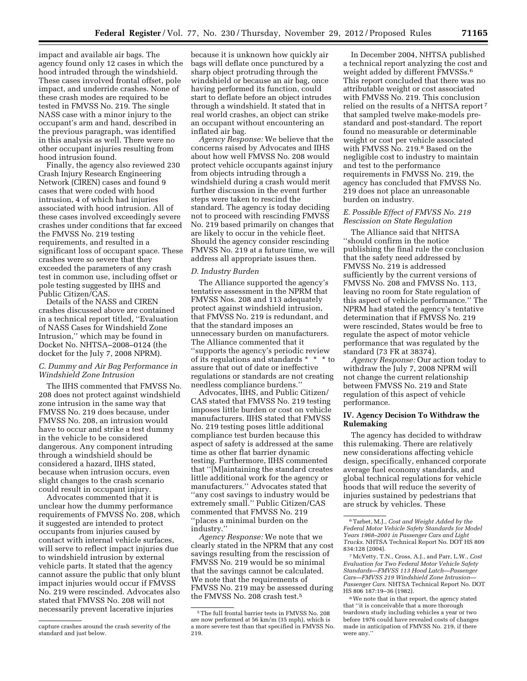impact and available air bags. The agency found only 12 cases in which the hood intruded through the windshield. These cases involved frontal offset, pole impact, and underride crashes. None of these crash modes are required to be tested in FMVSS No. 219. The single NASS case with a minor injury to the occupant's arm and hand, described in the previous paragraph, was identified in this analysis as well. There were no other occupant injuries resulting from hood intrusion found.

Finally, the agency also reviewed 230 Crash Injury Research Engineering Network (CIREN) cases and found 9 cases that were coded with hood intrusion, 4 of which had injuries associated with hood intrusion. All of these cases involved exceedingly severe crashes under conditions that far exceed the FMVSS No. 219 testing requirements, and resulted in a significant loss of occupant space. These crashes were so severe that they exceeded the parameters of any crash test in common use, including offset or pole testing suggested by IIHS and Public Citizen/CAS.

Details of the NASS and CIREN crashes discussed above are contained in a technical report titled, ''Evaluation of NASS Cases for Windshield Zone Intrusion,'' which may be found in Docket No. NHTSA–2008–0124 (the docket for the July 7, 2008 NPRM).

## *C. Dummy and Air Bag Performance in Windshield Zone Intrusion*

The IIHS commented that FMVSS No. 208 does not protect against windshield zone intrusion in the same way that FMVSS No. 219 does because, under FMVSS No. 208, an intrusion would have to occur and strike a test dummy in the vehicle to be considered dangerous. Any component intruding through a windshield should be considered a hazard, IIHS stated, because when intrusion occurs, even slight changes to the crash scenario could result in occupant injury.

Advocates commented that it is unclear how the dummy performance requirements of FMVSS No. 208, which it suggested are intended to protect occupants from injuries caused by contact with internal vehicle surfaces, will serve to reflect impact injuries due to windshield intrusion by external vehicle parts. It stated that the agency cannot assure the public that only blunt impact injuries would occur if FMVSS No. 219 were rescinded. Advocates also stated that FMVSS No. 208 will not necessarily prevent lacerative injuries

because it is unknown how quickly air bags will deflate once punctured by a sharp object protruding through the windshield or because an air bag, once having performed its function, could start to deflate before an object intrudes through a windshield. It stated that in real world crashes, an object can strike an occupant without encountering an inflated air bag.

*Agency Response:* We believe that the concerns raised by Advocates and IIHS about how well FMVSS No. 208 would protect vehicle occupants against injury from objects intruding through a windshield during a crash would merit further discussion in the event further steps were taken to rescind the standard. The agency is today deciding not to proceed with rescinding FMVSS No. 219 based primarily on changes that are likely to occur in the vehicle fleet. Should the agency consider rescinding FMVSS No. 219 at a future time, we will address all appropriate issues then.

## *D. Industry Burden*

The Alliance supported the agency's tentative assessment in the NPRM that FMVSS Nos. 208 and 113 adequately protect against windshield intrusion, that FMVSS No. 219 is redundant, and that the standard imposes an unnecessary burden on manufacturers. The Alliance commented that it ''supports the agency's periodic review of its regulations and standards \* \* \* to assure that out of date or ineffective regulations or standards are not creating needless compliance burdens.''

Advocates, IIHS, and Public Citizen/ CAS stated that FMVSS No. 219 testing imposes little burden or cost on vehicle manufacturers. IIHS stated that FMVSS No. 219 testing poses little additional compliance test burden because this aspect of safety is addressed at the same time as other flat barrier dynamic testing. Furthermore, IIHS commented that ''[M]aintaining the standard creates little additional work for the agency or manufacturers.'' Advocates stated that ''any cost savings to industry would be extremely small.'' Public Citizen/CAS commented that FMVSS No. 219 ''places a minimal burden on the industry.''

*Agency Response:* We note that we clearly stated in the NPRM that any cost savings resulting from the rescission of FMVSS No. 219 would be so minimal that the savings cannot be calculated. We note that the requirements of FMVSS No. 219 may be assessed during the FMVSS No. 208 crash test.5

In December 2004, NHTSA published a technical report analyzing the cost and weight added by different FMVSSs.6 This report concluded that there was no attributable weight or cost associated with FMVSS No. 219. This conclusion relied on the results of a NHTSA report 7 that sampled twelve make-models prestandard and post-standard. The report found no measurable or determinable weight or cost per vehicle associated with FMVSS No. 219.8 Based on the negligible cost to industry to maintain and test to the performance requirements in FMVSS No. 219, the agency has concluded that FMVSS No. 219 does not place an unreasonable burden on industry.

# *E. Possible Effect of FMVSS No. 219 Rescission on State Regulation*

The Alliance said that NHTSA ''should confirm in the notice publishing the final rule the conclusion that the safety need addressed by FMVSS No. 219 is addressed sufficiently by the current versions of FMVSS No. 208 and FMVSS No. 113, leaving no room for State regulation of this aspect of vehicle performance.'' The NPRM had stated the agency's tentative determination that if FMVSS No. 219 were rescinded, States would be free to regulate the aspect of motor vehicle performance that was regulated by the standard (73 FR at 38374).

*Agency Response:* Our action today to withdraw the July 7, 2008 NPRM will not change the current relationship between FMVSS No. 219 and State regulation of this aspect of vehicle performance.

# **IV. Agency Decision To Withdraw the Rulemaking**

The agency has decided to withdraw this rulemaking. There are relatively new considerations affecting vehicle design, specifically, enhanced corporate average fuel economy standards, and global technical regulations for vehicle hoods that will reduce the severity of injuries sustained by pedestrians that are struck by vehicles. These

capture crashes around the crash severity of the standard and just below.

<sup>5</sup>The full frontal barrier tests in FMVSS No. 208 are now performed at 56 km/m (35 mph), which is a more severe test than that specified in FMVSS No. 219.

<sup>6</sup>Tarbet, M.J., *Cost and Weight Added by the Federal Motor Vehicle Safety Standards for Model Years 1968–2001 in Passenger Cars and Light Trucks.* NHTSA Technical Report No. DOT HS 809 834:128 (2004).

<sup>7</sup>McVetty, T.N., Cross, A.J., and Parr, L.W., *Cost Evaluation for Two Federal Motor Vehicle Safety Standards—FMVSS 113 Hood Latch—Passenger Cars—FMVSS 219 Windshield Zone Intrusion— Passenger Cars.* NHTSA Technical Report No. DOT HS 806 187:19–36 (1982).

<sup>8</sup>We note that in that report, the agency stated that ''it is conceivable that a more thorough teardown study including vehicles a year or two before 1976 could have revealed costs of changes made in anticipation of FMVSS No. 219, if there were any.''